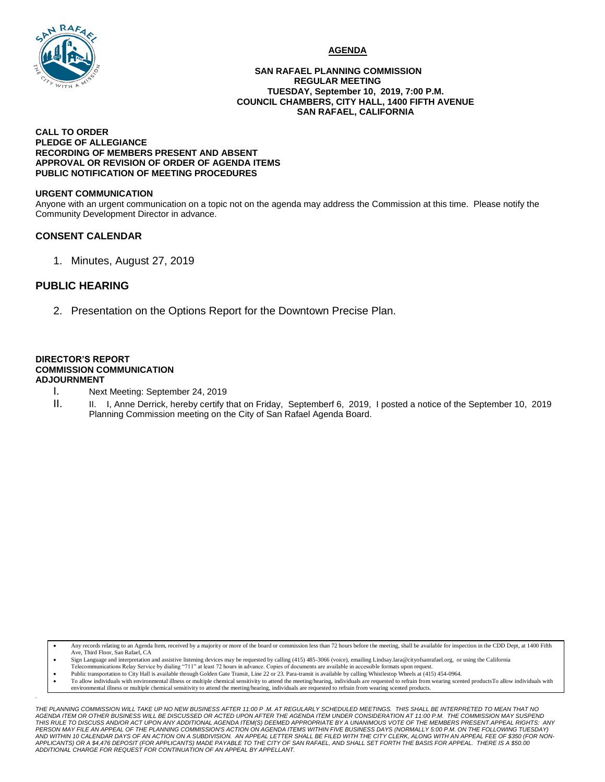

#### **AGENDA**

#### **SAN RAFAEL PLANNING COMMISSION REGULAR MEETING TUESDAY, September 10, 2019, 7:00 P.M. COUNCIL CHAMBERS, CITY HALL, 1400 FIFTH AVENUE SAN RAFAEL, CALIFORNIA**

#### **CALL TO ORDER PLEDGE OF ALLEGIANCE RECORDING OF MEMBERS PRESENT AND ABSENT APPROVAL OR REVISION OF ORDER OF AGENDA ITEMS PUBLIC NOTIFICATION OF MEETING PROCEDURES**

#### **URGENT COMMUNICATION**

Anyone with an urgent communication on a topic not on the agenda may address the Commission at this time. Please notify the Community Development Director in advance.

### **CONSENT CALENDAR**

1. Minutes, August 27, 2019

## **PUBLIC HEARING**

*.*

2. Presentation on the Options Report for the Downtown Precise Plan.

#### **DIRECTOR'S REPORT COMMISSION COMMUNICATION ADJOURNMENT**

- I. Next Meeting: September 24, 2019
- II. I. I, Anne Derrick, hereby certify that on Friday, Septemberf 6, 2019, I posted a notice of the September 10, 2019 Planning Commission meeting on the City of San Rafael Agenda Board.

Any records relating to an Agenda Item, received by a majority or more of the board or commission less than 72 hours before the meeting, shall be available for inspection in the CDD Dept, at 1400 Fifth Ave, Third Floor, San Rafael, CA

- Sign Language and interpretation and assistive listening devices may be requested by calling (415) 485-3066 (voice), emailing Lindsay.lara@cityofsanrafael.org, or using the California Telecommunications Relay Service by dialing "711" at least 72 hours in advance. Copies of documents are available in accessible formats upon request.
- Public transportation to City Hall is available through Golden Gate Transit, Line 22 or 23. Para-transit is available by calling Whistlestop Wheels at (415) 454-0964.
- To allow individuals with environmental illness or multiple chemical sensitivity to attend the meeting/hearing, individuals are requested to refrain from wearing scented productsTo allow individuals with environmental illness or multiple chemical sensitivity to attend the meeting/hearing, individuals are requested to refrain from wearing scented products.

*THE PLANNING COMMISSION WILL TAKE UP NO NEW BUSINESS AFTER 11:00 P .M. AT REGULARLY SCHEDULED MEETINGS. THIS SHALL BE INTERPRETED TO MEAN THAT NO*  AGENDA ITEM OR OTHER BUSINESS WILL BE DISCUSSED OR ACTED UPON AFTER THE AGENDA ITEM UNDER CONSIDERATION AT 11:00 P.M. THE COMMISSION MAY SUSPEND<br>THIS RULE TO DISCUSS AND/OR ACT UPON ANY ADDITIONAL AGENDA ITEM(S) DEEMED APP *PERSON MAY FILE AN APPEAL OF THE PLANNING COMMISSION'S ACTION ON AGENDA ITEMS WITHIN FIVE BUSINESS DAYS (NORMALLY 5:00 P.M. ON THE FOLLOWING TUESDAY) AND WITHIN 10 CALENDAR DAYS OF AN ACTION ON A SUBDIVISION. AN APPEAL LETTER SHALL BE FILED WITH THE CITY CLERK, ALONG WITH AN APPEAL FEE OF \$350 (FOR NON-APPLICANTS) OR A \$4,476 DEPOSIT (FOR APPLICANTS) MADE PAYABLE TO THE CITY OF SAN RAFAEL, AND SHALL SET FORTH THE BASIS FOR APPEAL. THERE IS A \$50.00 ADDITIONAL CHARGE FOR REQUEST FOR CONTINUATION OF AN APPEAL BY APPELLANT.*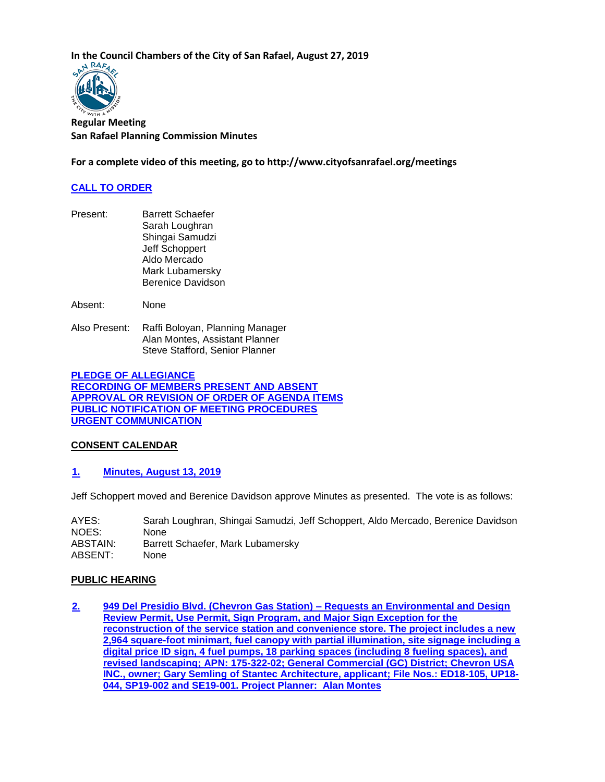**In the Council Chambers of the City of San Rafael, August 27, 2019**<br>  $\mathbb{R}^{N-RAF}$ 



**Regular Meeting San Rafael Planning Commission Minutes**

**For a complete video of this meeting, go to http://www.cityofsanrafael.org/meetings**

## **[CALL TO ORDER](http://cityofsanrafael.granicus.com/wordlinkreceiver.php?clip_id=7124501e-dc95-4fd5-a98f-927eed8042b2&meta_id=76fd4f13-4b51-4464-837b-f2c4ca083bbb&time=32)**

Present: Barrett Schaefer Sarah Loughran Shingai Samudzi Jeff Schoppert Aldo Mercado Mark Lubamersky Berenice Davidson

Absent: None

Also Present: Raffi Boloyan, Planning Manager Alan Montes, Assistant Planner Steve Stafford, Senior Planner

**[PLEDGE OF ALLEGIANCE](http://cityofsanrafael.granicus.com/wordlinkreceiver.php?clip_id=7124501e-dc95-4fd5-a98f-927eed8042b2&meta_id=6e70a882-bc70-4f49-bd3c-76fd2f13c2a6&time=33) [RECORDING OF MEMBERS PRESENT AND ABSENT](http://cityofsanrafael.granicus.com/wordlinkreceiver.php?clip_id=7124501e-dc95-4fd5-a98f-927eed8042b2&meta_id=8a6bf8a4-8520-4ee8-bf76-23de33378ccd&time=53) [APPROVAL OR REVISION OF ORDER OF AGENDA ITEMS](http://cityofsanrafael.granicus.com/wordlinkreceiver.php?clip_id=7124501e-dc95-4fd5-a98f-927eed8042b2&meta_id=147b05a8-15eb-4590-bc86-e0c9f0798cd6&time=68) [PUBLIC NOTIFICATION OF MEETING PROCEDURES](http://cityofsanrafael.granicus.com/wordlinkreceiver.php?clip_id=7124501e-dc95-4fd5-a98f-927eed8042b2&meta_id=9bea2a09-ea3d-4f0e-b1cf-9c05670f22ae&time=69) [URGENT COMMUNICATION](http://cityofsanrafael.granicus.com/wordlinkreceiver.php?clip_id=7124501e-dc95-4fd5-a98f-927eed8042b2&meta_id=6ca7e893-8757-4cd0-bc54-db4088eb0a54&time=114)**

### **CONSENT CALENDAR**

**[1. Minutes, August 13, 2019](http://cityofsanrafael.granicus.com/wordlinkreceiver.php?clip_id=7124501e-dc95-4fd5-a98f-927eed8042b2&meta_id=43598339-2c2c-4ca3-a05d-d18c9c6a8805&time=129)**

Jeff Schoppert moved and Berenice Davidson approve Minutes as presented. The vote is as follows:

AYES: Sarah Loughran, Shingai Samudzi, Jeff Schoppert, Aldo Mercado, Berenice Davidson NOES: None ABSTAIN: Barrett Schaefer, Mark Lubamersky ABSENT: None

### **PUBLIC HEARING**

**[2. 949 Del Presidio Blvd. \(Chevron Gas Station\) –](http://cityofsanrafael.granicus.com/wordlinkreceiver.php?clip_id=7124501e-dc95-4fd5-a98f-927eed8042b2&meta_id=7ab801d9-6d52-4837-91c2-ddaa022c70b5&time=163) Requests an Environmental and Design [Review Permit, Use Permit, Sign Program, and Major Sign Exception for the](http://cityofsanrafael.granicus.com/wordlinkreceiver.php?clip_id=7124501e-dc95-4fd5-a98f-927eed8042b2&meta_id=7ab801d9-6d52-4837-91c2-ddaa022c70b5&time=163)  [reconstruction of the service station and convenience store. The project includes a new](http://cityofsanrafael.granicus.com/wordlinkreceiver.php?clip_id=7124501e-dc95-4fd5-a98f-927eed8042b2&meta_id=7ab801d9-6d52-4837-91c2-ddaa022c70b5&time=163)  [2,964 square-foot minimart, fuel canopy with partial illumination, site signage including a](http://cityofsanrafael.granicus.com/wordlinkreceiver.php?clip_id=7124501e-dc95-4fd5-a98f-927eed8042b2&meta_id=7ab801d9-6d52-4837-91c2-ddaa022c70b5&time=163)  [digital price ID sign, 4 fuel pumps, 18 parking spaces \(including 8 fueling spaces\), and](http://cityofsanrafael.granicus.com/wordlinkreceiver.php?clip_id=7124501e-dc95-4fd5-a98f-927eed8042b2&meta_id=7ab801d9-6d52-4837-91c2-ddaa022c70b5&time=163)  [revised landscaping; APN: 175-322-02; General Commercial \(GC\) District; Chevron USA](http://cityofsanrafael.granicus.com/wordlinkreceiver.php?clip_id=7124501e-dc95-4fd5-a98f-927eed8042b2&meta_id=7ab801d9-6d52-4837-91c2-ddaa022c70b5&time=163)  [INC., owner; Gary Semling of Stantec Architecture, applicant; File Nos.: ED18-105, UP18-](http://cityofsanrafael.granicus.com/wordlinkreceiver.php?clip_id=7124501e-dc95-4fd5-a98f-927eed8042b2&meta_id=7ab801d9-6d52-4837-91c2-ddaa022c70b5&time=163) [044, SP19-002 and SE19-001. Project Planner: Alan Montes](http://cityofsanrafael.granicus.com/wordlinkreceiver.php?clip_id=7124501e-dc95-4fd5-a98f-927eed8042b2&meta_id=7ab801d9-6d52-4837-91c2-ddaa022c70b5&time=163)**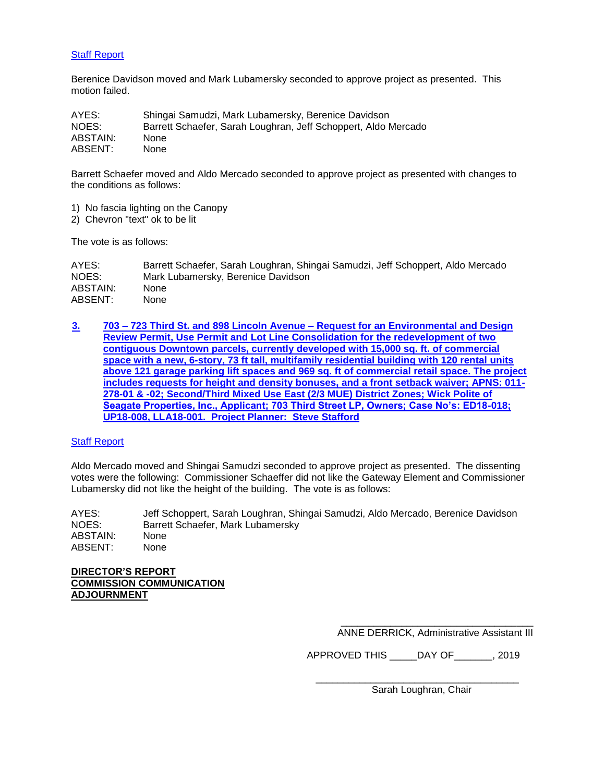## [Staff Report](http://cityofsanrafael.granicus.com/DocumentViewer.php?file=cityofsanrafael_cc6a7bc61b4235dcad187a678a5d1532.pdf)

Berenice Davidson moved and Mark Lubamersky seconded to approve project as presented. This motion failed.

| AYES:    | Shingai Samudzi, Mark Lubamersky, Berenice Davidson            |
|----------|----------------------------------------------------------------|
| NOES:    | Barrett Schaefer, Sarah Loughran, Jeff Schoppert, Aldo Mercado |
| ABSTAIN: | <b>None</b>                                                    |
| ABSENT:  | None                                                           |

Barrett Schaefer moved and Aldo Mercado seconded to approve project as presented with changes to the conditions as follows:

- 1) No fascia lighting on the Canopy
- 2) Chevron "text" ok to be lit

The vote is as follows:

AYES: Barrett Schaefer, Sarah Loughran, Shingai Samudzi, Jeff Schoppert, Aldo Mercado NOES: Mark Lubamersky, Berenice Davidson ABSTAIN: None ABSENT: None

**[3.](http://cityofsanrafael.granicus.com/wordlinkreceiver.php?clip_id=7124501e-dc95-4fd5-a98f-927eed8042b2&meta_id=bc45c669-e8e6-45ad-b091-2035590c5fd5&time=2784) 703 – 723 Third St. and 898 Lincoln Avenue – [Request for an Environmental and Design](http://cityofsanrafael.granicus.com/wordlinkreceiver.php?clip_id=7124501e-dc95-4fd5-a98f-927eed8042b2&meta_id=bc45c669-e8e6-45ad-b091-2035590c5fd5&time=2784)  [Review Permit, Use Permit and Lot Line Consolidation for the redevelopment of two](http://cityofsanrafael.granicus.com/wordlinkreceiver.php?clip_id=7124501e-dc95-4fd5-a98f-927eed8042b2&meta_id=bc45c669-e8e6-45ad-b091-2035590c5fd5&time=2784)  [contiguous Downtown parcels, currently developed with 15,000 sq. ft. of commercial](http://cityofsanrafael.granicus.com/wordlinkreceiver.php?clip_id=7124501e-dc95-4fd5-a98f-927eed8042b2&meta_id=bc45c669-e8e6-45ad-b091-2035590c5fd5&time=2784)  [space with a new, 6-story, 73 ft tall, multifamily residential building with 120 rental](http://cityofsanrafael.granicus.com/wordlinkreceiver.php?clip_id=7124501e-dc95-4fd5-a98f-927eed8042b2&meta_id=bc45c669-e8e6-45ad-b091-2035590c5fd5&time=2784) units [above 121 garage parking lift spaces and 969 sq. ft of commercial retail space. The project](http://cityofsanrafael.granicus.com/wordlinkreceiver.php?clip_id=7124501e-dc95-4fd5-a98f-927eed8042b2&meta_id=bc45c669-e8e6-45ad-b091-2035590c5fd5&time=2784)  [includes requests for height and density bonuses, and a front setback waiver; APNS: 011-](http://cityofsanrafael.granicus.com/wordlinkreceiver.php?clip_id=7124501e-dc95-4fd5-a98f-927eed8042b2&meta_id=bc45c669-e8e6-45ad-b091-2035590c5fd5&time=2784) [278-01 & -02; Second/Third Mixed Use East \(2/3 MUE\) District Zones; Wick Polite of](http://cityofsanrafael.granicus.com/wordlinkreceiver.php?clip_id=7124501e-dc95-4fd5-a98f-927eed8042b2&meta_id=bc45c669-e8e6-45ad-b091-2035590c5fd5&time=2784)  [Seagate Properties, Inc., Applicant; 703 Third Street LP, Owners; Case No's: ED18-018;](http://cityofsanrafael.granicus.com/wordlinkreceiver.php?clip_id=7124501e-dc95-4fd5-a98f-927eed8042b2&meta_id=bc45c669-e8e6-45ad-b091-2035590c5fd5&time=2784)  [UP18-008, LLA18-001.](http://cityofsanrafael.granicus.com/wordlinkreceiver.php?clip_id=7124501e-dc95-4fd5-a98f-927eed8042b2&meta_id=bc45c669-e8e6-45ad-b091-2035590c5fd5&time=2784) Project Planner: Steve Stafford**

#### [Staff Report](http://cityofsanrafael.granicus.com/DocumentViewer.php?file=cityofsanrafael_c56d56e50519a2f1071a891e0444fd5a.pdf)

Aldo Mercado moved and Shingai Samudzi seconded to approve project as presented. The dissenting votes were the following: Commissioner Schaeffer did not like the Gateway Element and Commissioner Lubamersky did not like the height of the building. The vote is as follows:

AYES: Jeff Schoppert, Sarah Loughran, Shingai Samudzi, Aldo Mercado, Berenice Davidson NOES: Barrett Schaefer, Mark Lubamersky ABSTAIN: None ABSENT: None

 $\frac{1}{2}$  , and the set of the set of the set of the set of the set of the set of the set of the set of the set of the set of the set of the set of the set of the set of the set of the set of the set of the set of the set

**DIRECTOR'S REPORT COMMISSION COMMUNICATION ADJOURNMENT**

> \_\_\_\_\_\_\_\_\_\_\_\_\_\_\_\_\_\_\_\_\_\_\_\_\_\_\_\_\_\_\_\_\_\_\_ ANNE DERRICK, Administrative Assistant III

APPROVED THIS \_\_\_\_\_DAY OF\_\_\_\_\_\_\_, 2019

Sarah Loughran, Chair